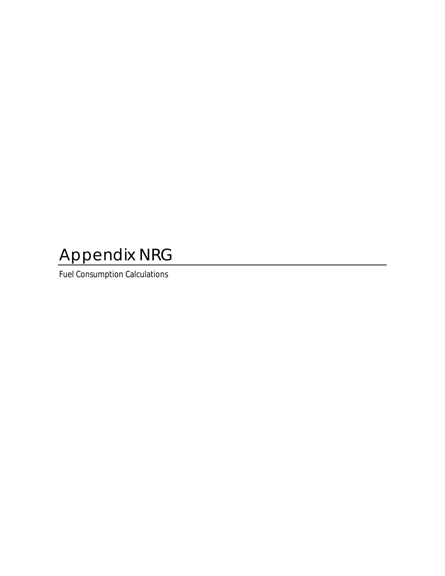## Appendix NRG

Fuel Consumption Calculations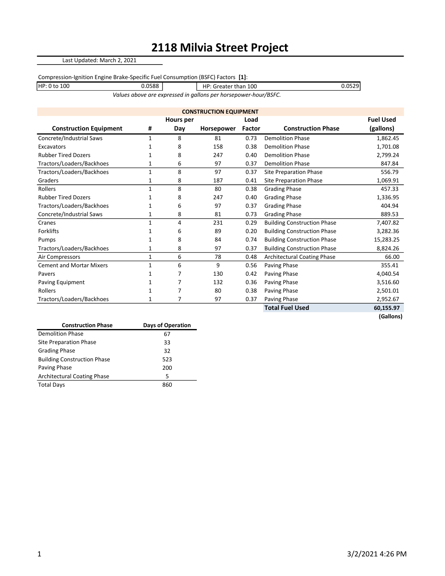## 2118 Milvia Street Project

Last Updated: March 2, 2021

Compression-Ignition Engine Brake-Specific Fuel Consumption (BSFC) Factors [1]:

HP: 0 to 100 0.0588 0.0529 HP: Greater than 100

Values above are expressed in gallons per horsepower-hour/BSFC.

| <b>CONSTRUCTION EQUIPMENT</b>   |             |           |            |        |                                    |                  |  |
|---------------------------------|-------------|-----------|------------|--------|------------------------------------|------------------|--|
|                                 |             | Hours per |            | Load   |                                    | <b>Fuel Used</b> |  |
| <b>Construction Equipment</b>   | #           | Day       | Horsepower | Factor | <b>Construction Phase</b>          | (gallons)        |  |
| Concrete/Industrial Saws        | 1           | 8         | 81         | 0.73   | <b>Demolition Phase</b>            | 1,862.45         |  |
| <b>Excavators</b>               |             | 8         | 158        | 0.38   | <b>Demolition Phase</b>            | 1,701.08         |  |
| <b>Rubber Tired Dozers</b>      |             | 8         | 247        | 0.40   | <b>Demolition Phase</b>            | 2,799.24         |  |
| Tractors/Loaders/Backhoes       | 1           | 6         | 97         | 0.37   | <b>Demolition Phase</b>            | 847.84           |  |
| Tractors/Loaders/Backhoes       | 1           | 8         | 97         | 0.37   | <b>Site Preparation Phase</b>      | 556.79           |  |
| Graders                         | 1           | 8         | 187        | 0.41   | <b>Site Preparation Phase</b>      | 1,069.91         |  |
| Rollers                         | 1           | 8         | 80         | 0.38   | <b>Grading Phase</b>               | 457.33           |  |
| <b>Rubber Tired Dozers</b>      |             | 8         | 247        | 0.40   | <b>Grading Phase</b>               | 1,336.95         |  |
| Tractors/Loaders/Backhoes       |             | 6         | 97         | 0.37   | <b>Grading Phase</b>               | 404.94           |  |
| Concrete/Industrial Saws        |             | 8         | 81         | 0.73   | <b>Grading Phase</b>               | 889.53           |  |
| Cranes                          | 1           | 4         | 231        | 0.29   | <b>Building Construction Phase</b> | 7,407.82         |  |
| <b>Forklifts</b>                |             | 6         | 89         | 0.20   | <b>Building Construction Phase</b> | 3,282.36         |  |
| Pumps                           |             | 8         | 84         | 0.74   | <b>Building Construction Phase</b> | 15,283.25        |  |
| Tractors/Loaders/Backhoes       | 1           | 8         | 97         | 0.37   | <b>Building Construction Phase</b> | 8,824.26         |  |
| Air Compressors                 | $\mathbf 1$ | 6         | 78         | 0.48   | <b>Architectural Coating Phase</b> | 66.00            |  |
| <b>Cement and Mortar Mixers</b> | 1           | 6         | 9          | 0.56   | Paving Phase                       | 355.41           |  |
| Pavers                          |             | 7         | 130        | 0.42   | Paving Phase                       | 4,040.54         |  |
| Paving Equipment                |             | 7         | 132        | 0.36   | Paving Phase                       | 3,516.60         |  |
| Rollers                         |             | 7         | 80         | 0.38   | Paving Phase                       | 2,501.01         |  |
| Tractors/Loaders/Backhoes       | 1           | 7         | 97         | 0.37   | Paving Phase                       | 2,952.67         |  |
|                                 |             |           |            |        | <b>Total Fuel Used</b>             | 60,155.97        |  |

| <b>Construction Phase</b>          | <b>Days of Operation</b> |
|------------------------------------|--------------------------|
| <b>Demolition Phase</b>            | 67                       |
| Site Preparation Phase             | 33                       |
| <b>Grading Phase</b>               | 32                       |
| <b>Building Construction Phase</b> | 523                      |
| Paving Phase                       | 200                      |
| <b>Architectural Coating Phase</b> | 5                        |
| <b>Total Days</b>                  | 860                      |

(Gallons)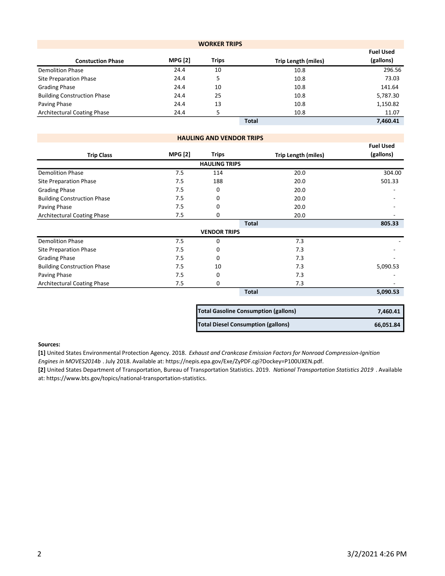| <b>WORKER TRIPS</b>                |                  |              |                            |           |  |
|------------------------------------|------------------|--------------|----------------------------|-----------|--|
|                                    | <b>Fuel Used</b> |              |                            |           |  |
| <b>Constuction Phase</b>           | <b>MPG [2]</b>   | <b>Trips</b> | <b>Trip Length (miles)</b> | (gallons) |  |
| Demolition Phase                   | 24.4             | 10           | 10.8                       | 296.56    |  |
| Site Preparation Phase             | 24.4             | 5            | 10.8                       | 73.03     |  |
| <b>Grading Phase</b>               | 24.4             | 10           | 10.8                       | 141.64    |  |
| <b>Building Construction Phase</b> | 24.4             | 25           | 10.8                       | 5,787.30  |  |
| Paving Phase                       | 24.4             | 13           | 10.8                       | 1,150.82  |  |
| Architectural Coating Phase        | 24.4             |              | 10.8                       | 11.07     |  |
|                                    |                  |              | <b>Total</b>               | 7,460.41  |  |

|                                    |                | <b>HAULING AND VENDOR TRIPS</b> |                            |                               |
|------------------------------------|----------------|---------------------------------|----------------------------|-------------------------------|
| <b>Trip Class</b>                  | <b>MPG [2]</b> | <b>Trips</b>                    | <b>Trip Length (miles)</b> | <b>Fuel Used</b><br>(gallons) |
|                                    |                | <b>HAULING TRIPS</b>            |                            |                               |
| <b>Demolition Phase</b>            | 7.5            | 114                             | 20.0                       | 304.00                        |
| <b>Site Preparation Phase</b>      | 7.5            | 188                             | 20.0                       | 501.33                        |
| <b>Grading Phase</b>               | 7.5            | 0                               | 20.0                       |                               |
| <b>Building Construction Phase</b> | 7.5            | 0                               | 20.0                       |                               |
| Paving Phase                       | 7.5            | 0                               | 20.0                       |                               |
| <b>Architectural Coating Phase</b> | 7.5            | 0                               | 20.0                       |                               |
|                                    |                |                                 | <b>Total</b>               | 805.33                        |
|                                    |                | <b>VENDOR TRIPS</b>             |                            |                               |
| <b>Demolition Phase</b>            | 7.5            | $\Omega$                        | 7.3                        |                               |
| Site Preparation Phase             | 7.5            | 0                               | 7.3                        |                               |
| <b>Grading Phase</b>               | 7.5            | 0                               | 7.3                        |                               |
| <b>Building Construction Phase</b> | 7.5            | 10                              | 7.3                        | 5,090.53                      |
| Paving Phase                       | 7.5            | 0                               | 7.3                        |                               |
| <b>Architectural Coating Phase</b> | 7.5            | 0                               | 7.3                        |                               |
|                                    |                |                                 | <b>Total</b>               | 5,090.53                      |

| <b>Total Gasoline Consumption (gallons)</b> | 7.460.41  |
|---------------------------------------------|-----------|
| <b>Total Diesel Consumption (gallons)</b>   | 66.051.84 |

## Sources:

[1] United States Environmental Protection Agency. 2018. Exhaust and Crankcase Emission Factors for Nonroad Compression-Ignition Engines in MOVES2014b . July 2018. Available at: https://nepis.epa.gov/Exe/ZyPDF.cgi?Dockey=P100UXEN.pdf.

[2] United States Department of Transportation, Bureau of Transportation Statistics. 2019. National Transportation Statistics 2019 . Available at: https://www.bts.gov/topics/national-transportation-statistics.